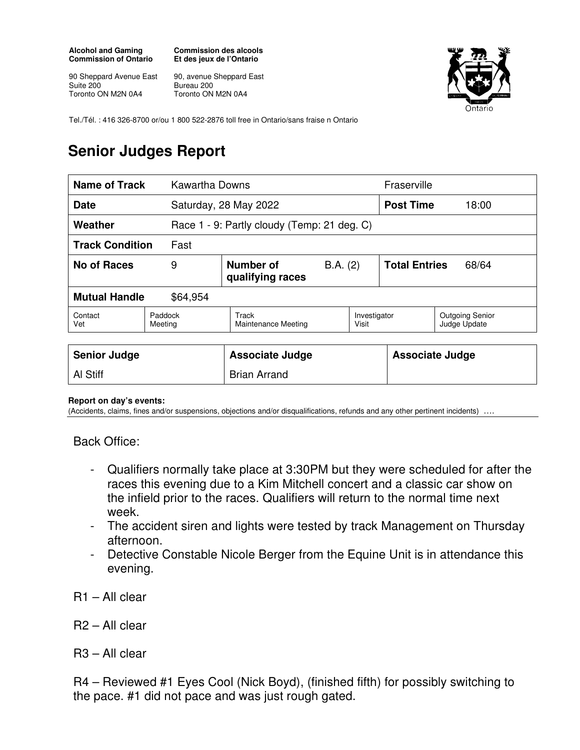## **Alcohol and Gaming Commission of Ontario**

**Commission des alcools Et des jeux de l'Ontario** 

90 Sheppard Avenue East Suite 200 Toronto ON M2N 0A4

90, avenue Sheppard East Bureau 200 Toronto ON M2N 0A4



Tel./Tél. : 416 326-8700 or/ou 1 800 522-2876 toll free in Ontario/sans fraise n Ontario

## **Senior Judges Report**

| Name of Track                    |                    | Kawartha Downs                              |                       |                               | Fraserville                            |  |
|----------------------------------|--------------------|---------------------------------------------|-----------------------|-------------------------------|----------------------------------------|--|
| <b>Date</b>                      |                    | Saturday, 28 May 2022                       |                       |                               | <b>Post Time</b><br>18:00              |  |
| Weather                          |                    | Race 1 - 9: Partly cloudy (Temp: 21 deg. C) |                       |                               |                                        |  |
| <b>Track Condition</b>           | Fast               |                                             |                       |                               |                                        |  |
| No of Races                      | 9                  | Number of<br>qualifying races               | B.A. (2)              | <b>Total Entries</b><br>68/64 |                                        |  |
| <b>Mutual Handle</b><br>\$64,954 |                    |                                             |                       |                               |                                        |  |
| Contact<br>Vet                   | Paddock<br>Meeting | Track<br>Maintenance Meeting                | Investigator<br>Visit |                               | <b>Outgoing Senior</b><br>Judge Update |  |

| <b>Senior Judge</b> | <b>Associate Judge</b> | <b>Associate Judge</b> |
|---------------------|------------------------|------------------------|
| <b>Al Stiff</b>     | <b>Brian Arrand</b>    |                        |

## **Report on day's events:**

(Accidents, claims, fines and/or suspensions, objections and/or disqualifications, refunds and any other pertinent incidents) ….

Back Office:

- Qualifiers normally take place at 3:30PM but they were scheduled for after the races this evening due to a Kim Mitchell concert and a classic car show on the infield prior to the races. Qualifiers will return to the normal time next week.
- The accident siren and lights were tested by track Management on Thursday afternoon.
- Detective Constable Nicole Berger from the Equine Unit is in attendance this evening.
- R1 All clear
- R2 All clear
- R3 All clear

R4 – Reviewed #1 Eyes Cool (Nick Boyd), (finished fifth) for possibly switching to the pace. #1 did not pace and was just rough gated.